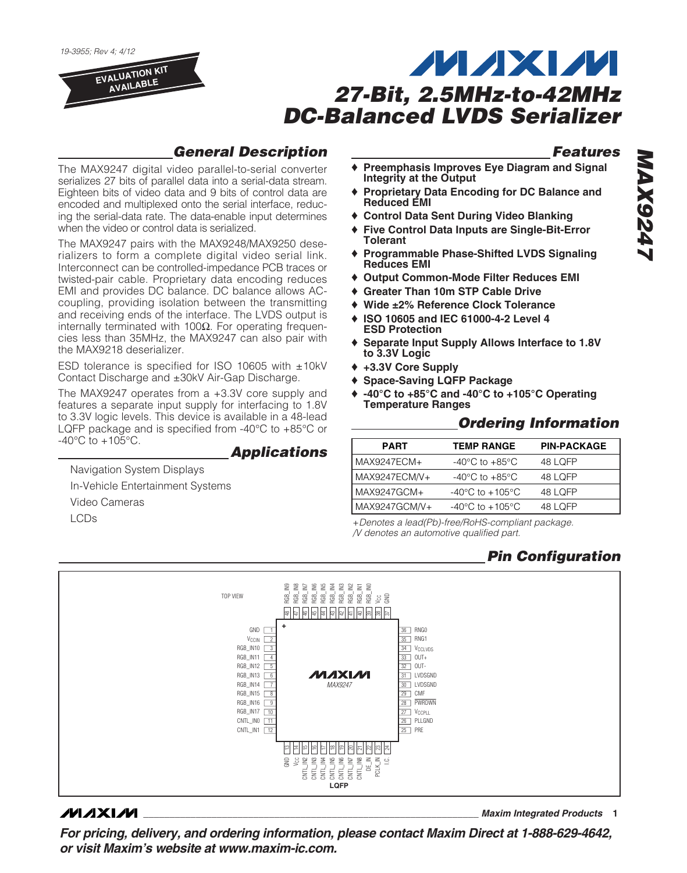19-3955; Rev 4; 4/12

**EVALUATION KIT AVAILABLE**

# **MAXM 27-Bit, 2.5MHz-to-42MHz DC-Balanced LVDS Serializer**

## **General Description**

The MAX9247 digital video parallel-to-serial converter serializes 27 bits of parallel data into a serial-data stream. Eighteen bits of video data and 9 bits of control data are encoded and multiplexed onto the serial interface, reducing the serial-data rate. The data-enable input determines when the video or control data is serialized.

The MAX9247 pairs with the MAX9248/MAX9250 deserializers to form a complete digital video serial link. Interconnect can be controlled-impedance PCB traces or twisted-pair cable. Proprietary data encoding reduces EMI and provides DC balance. DC balance allows ACcoupling, providing isolation between the transmitting and receiving ends of the interface. The LVDS output is internally terminated with 100Ω. For operating frequencies less than 35MHz, the MAX9247 can also pair with the MAX9218 deserializer.

ESD tolerance is specified for ISO 10605 with ±10kV Contact Discharge and ±30kV Air-Gap Discharge.

The MAX9247 operates from a +3.3V core supply and features a separate input supply for interfacing to 1.8V to 3.3V logic levels. This device is available in a 48-lead LQFP package and is specified from -40°C to +85°C or  $-40^{\circ}$ C to  $+105^{\circ}$ C.

### **Applications**

Navigation System Displays In-Vehicle Entertainment Systems Video Cameras LCDs

# **Features**

- ♦ **Preemphasis Improves Eye Diagram and Signal Integrity at the Output**
- ♦ **Proprietary Data Encoding for DC Balance and Reduced EMI**
- ♦ **Control Data Sent During Video Blanking**
- ♦ **Five Control Data Inputs are Single-Bit-Error Tolerant**
- ♦ **Programmable Phase-Shifted LVDS Signaling Reduces EMI**
- ♦ **Output Common-Mode Filter Reduces EMI**
- **Greater Than 10m STP Cable Drive**
- ♦ **Wide ±2% Reference Clock Tolerance**
- ♦ **ISO 10605 and IEC 61000-4-2 Level 4 ESD Protection**
- ♦ **Separate Input Supply Allows Interface to 1.8V to 3.3V Logic**
- ♦ **+3.3V Core Supply**
- ♦ **Space-Saving LQFP Package**
- ♦ **-40°C to +85°C and -40°C to +105°C Operating Temperature Ranges**

### **Ordering Information**

| <b>PART</b>   | <b>TEMP RANGE</b>                   | <b>PIN-PACKAGE</b> |
|---------------|-------------------------------------|--------------------|
| MAX9247ECM+   | $-40^{\circ}$ C to $+85^{\circ}$ C  | 48 LOFP            |
| MAX9247ECM/V+ | $-40^{\circ}$ C to $+85^{\circ}$ C  | 48 LOFP            |
| MAX9247GCM+   | $-40^{\circ}$ C to $+105^{\circ}$ C | 48 LOFP            |
| MAX9247GCM/V+ | $-40^{\circ}$ C to $+105^{\circ}$ C | 48 LOFP            |

+Denotes a lead(Pb)-free/RoHS-compliant package. /V denotes an automotive qualified part.

## **Pin Configuration**



### **MAXM**

**\_\_\_\_\_\_\_\_\_\_\_\_\_\_\_\_\_\_\_\_\_\_\_\_\_\_\_\_\_\_\_\_\_\_\_\_\_\_\_\_\_\_\_\_\_\_\_\_\_\_\_\_\_\_\_\_\_\_\_\_\_\_\_\_ Maxim Integrated Products 1**

**For pricing, delivery, and ordering information, please contact Maxim Direct at 1-888-629-4642, or visit Maxim's website at www.maxim-ic.com.**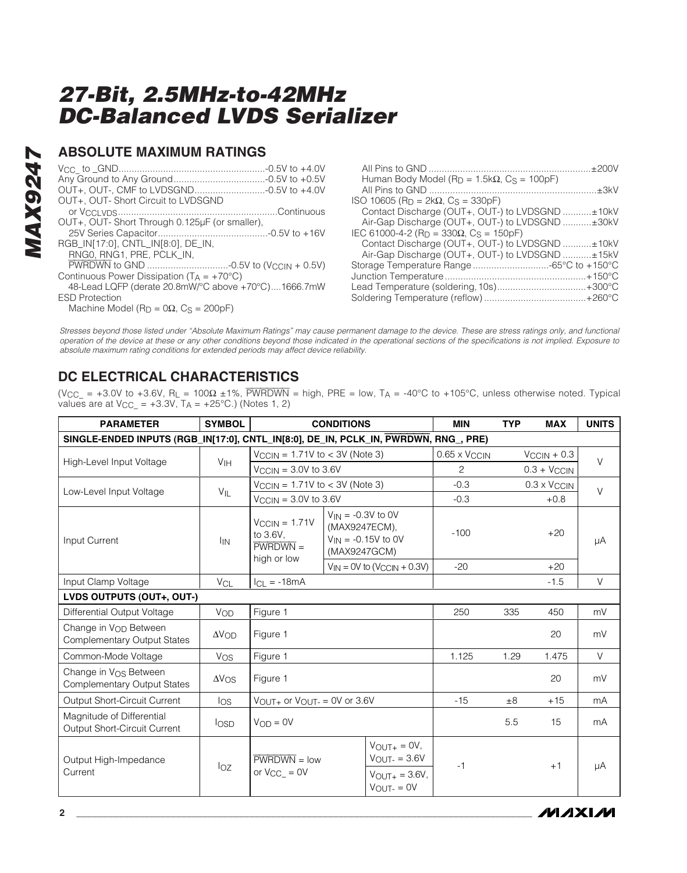### **ABSOLUTE MAXIMUM RATINGS**

| OUT+, OUT-, CMF to LVDSGND-0.5V to +4.0V              |  |
|-------------------------------------------------------|--|
| OUT+, OUT-Short Circuit to LVDSGND                    |  |
|                                                       |  |
| OUT+, OUT-Short Through 0.125µF (or smaller),         |  |
|                                                       |  |
| RGB_IN[17:0], CNTL_IN[8:0], DE_IN,                    |  |
| RNG0, RNG1, PRE, PCLK_IN,                             |  |
|                                                       |  |
| Continuous Power Dissipation ( $T_A = +70^{\circ}C$ ) |  |
| 48-Lead LQFP (derate 20.8mW/°C above +70°C)1666.7mW   |  |
|                                                       |  |

ESD Protection Machine Model ( $R_D = 0\Omega$ , C<sub>S</sub> = 200pF)

| Human Body Model ( $R_D = 1.5k\Omega$ , $C_S = 100pF$ )       |  |
|---------------------------------------------------------------|--|
|                                                               |  |
| ISO 10605 (R <sub>D</sub> = 2kΩ, C <sub>S</sub> = 330pF)      |  |
| Contact Discharge (OUT+, OUT-) to LVDSGND ±10kV               |  |
| Air-Gap Discharge (OUT+, OUT-) to LVDSGND ±30kV               |  |
| IEC 61000-4-2 (R <sub>D</sub> = 330Ω, C <sub>S</sub> = 150pF) |  |
| Contact Discharge (OUT+, OUT-) to LVDSGND ±10kV               |  |
| Air-Gap Discharge (OUT+, OUT-) to LVDSGND ±15kV               |  |
|                                                               |  |
|                                                               |  |
|                                                               |  |
|                                                               |  |

Stresses beyond those listed under "Absolute Maximum Ratings" may cause permanent damage to the device. These are stress ratings only, and functional operation of the device at these or any other conditions beyond those indicated in the operational sections of the specifications is not implied. Exposure to absolute maximum rating conditions for extended periods may affect device reliability.

## **DC ELECTRICAL CHARACTERISTICS**

(V<sub>CC</sub> = +3.0V to +3.6V, R<sub>L</sub> = 100 $\Omega$  ±1%, PWRDWN = high, PRE = low, T<sub>A</sub> = -40°C to +105°C, unless otherwise noted. Typical values are at  $V_{CC_} = +3.3V$ ,  $T_A = +25°C$ .) (Notes 1, 2)

| <b>PARAMETER</b>                                                                    | <b>SYMBOL</b>   |                                                                    | <b>CONDITIONS</b>                                                                      | <b>MIN</b>               | <b>TYP</b> | <b>MAX</b>              | <b>UNITS</b> |
|-------------------------------------------------------------------------------------|-----------------|--------------------------------------------------------------------|----------------------------------------------------------------------------------------|--------------------------|------------|-------------------------|--------------|
| SINGLE-ENDED INPUTS (RGB_IN[17:0], CNTL_IN[8:0], DE_IN, PCLK_IN, PWRDWN, RNG_, PRE) |                 |                                                                    |                                                                                        |                          |            |                         |              |
|                                                                                     |                 | $V_{\text{CCIN}} = 1.71V$ to $<$ 3V (Note 3)                       |                                                                                        | 0.65 x V <sub>CCIN</sub> |            | $V_{\text{CCIN}} + 0.3$ | $\vee$       |
| High-Level Input Voltage                                                            | V <sub>IH</sub> | $V_{\text{CCIN}} = 3.0V$ to 3.6V                                   |                                                                                        | $\overline{c}$           |            | $0.3 + V_{CCIN}$        |              |
| Low-Level Input Voltage                                                             | $V_{\parallel}$ | $V_{\text{CCIN}} = 1.71V$ to $<$ 3V (Note 3)                       |                                                                                        | $-0.3$                   |            | $0.3 \times V_{CCIN}$   | $\vee$       |
|                                                                                     |                 | $V_{\text{CCIN}} = 3.0V$ to 3.6V                                   |                                                                                        | $-0.3$                   |            | $+0.8$                  |              |
| <b>Input Current</b>                                                                | <b>I</b> IN     | $V_{\text{CCIN}} = 1.71V$<br>to 3.6V.<br>$PWRDWN =$<br>high or low | $V_{IN} = -0.3V$ to 0V<br>(MAX9247ECM),<br>$V_{IN} = -0.15V$ to 0V<br>(MAX9247GCM)     | $-100$                   |            | $+20$                   | μA           |
|                                                                                     |                 |                                                                    | $V_{IN} = OV$ to $(V_{CCIN} + 0.3V)$                                                   | $-20$                    |            | $+20$                   |              |
| Input Clamp Voltage                                                                 | V <sub>CL</sub> | $ICL = -18mA$                                                      |                                                                                        |                          |            | $-1.5$                  | $\vee$       |
| LVDS OUTPUTS (OUT+, OUT-)                                                           |                 |                                                                    |                                                                                        |                          |            |                         |              |
| Differential Output Voltage                                                         | VOD             | Figure 1                                                           |                                                                                        | 250                      | 335        | 450                     | mV           |
| Change in Von Between<br><b>Complementary Output States</b>                         | $\Delta V$ OD   | Figure 1                                                           |                                                                                        |                          |            | 20                      | mV           |
| Common-Mode Voltage                                                                 | Vos             | Figure 1                                                           |                                                                                        | 1.125                    | 1.29       | 1.475                   | $\vee$       |
| Change in Vos Between<br><b>Complementary Output States</b>                         | $\Delta V$ OS   | Figure 1                                                           |                                                                                        |                          |            | 20                      | mV           |
| Output Short-Circuit Current                                                        | $\log$          | $V_{\text{OUT+}}$ or $V_{\text{OUT-}} = 0V$ or 3.6V                |                                                                                        | $-15$                    | ±8         | $+15$                   | mA           |
| Magnitude of Differential<br>Output Short-Circuit Current                           | losp.           | $V_{OD} = 0V$                                                      |                                                                                        |                          | 5.5        | 15                      | mA           |
| Output High-Impedance<br>Current                                                    | $I_{OZ}$        | $PWRDWN = low$<br>or $V_{CC} = 0V$                                 | $V_{\text{OUT+}} = 0V$ ,<br>$V_{OUIT} = 3.6V$<br>$V_{OUT+} = 3.6V,$<br>$V$ OUT- = $0V$ | $-1$                     |            | $+1$                    | μA           |

*MAXM*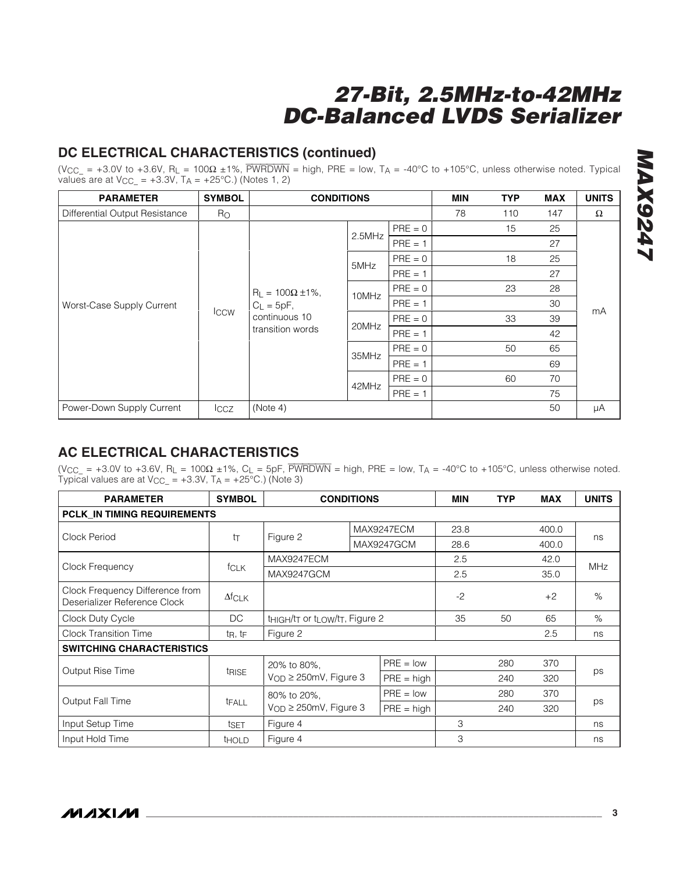## **DC ELECTRICAL CHARACTERISTICS (continued)**

(V<sub>CC\_</sub> = +3.0V to +3.6V, R<sub>L</sub> = 100 $\Omega$  ±1%, PWRDWN = high, PRE = low, T<sub>A</sub> = -40°C to +105°C, unless otherwise noted. Typical values are at  $V_{CC_} = +3.3V$ ,  $T_A = +25°C$ .) (Notes 1, 2)

| <b>PARAMETER</b>               | <b>SYMBOL</b> | <b>CONDITIONS</b>                                                                |        |           | MIN | <b>TYP</b> | <b>MAX</b> | <b>UNITS</b> |
|--------------------------------|---------------|----------------------------------------------------------------------------------|--------|-----------|-----|------------|------------|--------------|
| Differential Output Resistance | $R_{\rm O}$   |                                                                                  |        |           | 78  | 110        | 147        | $\Omega$     |
|                                |               |                                                                                  | 2.5MHz | $PRE = 0$ |     | 15         | 25         |              |
|                                |               |                                                                                  |        | $PRE = 1$ |     |            | 27         |              |
| Worst-Case Supply Current      |               |                                                                                  | 5MHz   | $PRE = 0$ |     | 18         | 25         |              |
|                                |               |                                                                                  |        | $PRE = 1$ |     |            | 27         |              |
|                                | Iccw          | $R_L = 100\Omega \pm 1\%,$<br>$C_L = 5pF$ ,<br>continuous 10<br>transition words | 10MHz  | $PRE = 0$ |     | 23         | 28         | mA           |
|                                |               |                                                                                  |        | $PRE = 1$ |     |            | 30         |              |
|                                |               |                                                                                  | 20MHz  | $PRE = 0$ |     | 33         | 39         |              |
|                                |               |                                                                                  |        | $PRE = 1$ |     |            | 42         |              |
|                                |               |                                                                                  | 35MHz  | $PRE = 0$ |     | 50         | 65         |              |
|                                |               |                                                                                  |        | $PRE = 1$ |     |            | 69         |              |
|                                |               |                                                                                  |        | $PRE = 0$ |     | 60         | 70         |              |
|                                |               |                                                                                  | 42MHz  | $PRE = 1$ |     |            | 75         |              |
| Power-Down Supply Current      | <b>ICCZ</b>   | (Note 4)                                                                         |        |           |     |            | 50         | μA           |

## **AC ELECTRICAL CHARACTERISTICS**

(VCC\_ = +3.0V to +3.6V, RL = 100 $\Omega$  ±1%, CL = 5pF,  $\overline{PWRDWN}$  = high, PRE = low, TA = -40°C to +105°C, unless otherwise noted. Typical values are at  $V_{\text{CC}} = +3.3V$ ,  $T_A = +25^{\circ}\text{C}$ .) (Note 3)

| <b>PARAMETER</b>                                                | <b>SYMBOL</b>                    |                                                                                  | <b>CONDITIONS</b> |              | MIN  | <b>TYP</b> | <b>MAX</b> | <b>UNITS</b> |
|-----------------------------------------------------------------|----------------------------------|----------------------------------------------------------------------------------|-------------------|--------------|------|------------|------------|--------------|
| <b>PCLK IN TIMING REQUIREMENTS</b>                              |                                  |                                                                                  |                   |              |      |            |            |              |
|                                                                 |                                  |                                                                                  |                   | MAX9247ECM   |      |            | 400.0      |              |
| Clock Period                                                    | tт                               | Figure 2                                                                         | MAX9247GCM        |              | 28.6 |            | 400.0      | ns           |
|                                                                 |                                  | MAX9247ECM                                                                       |                   |              | 2.5  |            | 42.0       |              |
| Clock Frequency                                                 | fclk                             | MAX9247GCM                                                                       |                   | 2.5          |      | 35.0       | <b>MHz</b> |              |
| Clock Frequency Difference from<br>Deserializer Reference Clock | $\Delta f$ CLK                   |                                                                                  |                   |              | $-2$ |            | $+2$       | %            |
| Clock Duty Cycle                                                | DC                               | t <sub>HIGH</sub> /t <sub>T</sub> or t <sub>LOW</sub> /t <sub>T</sub> , Figure 2 |                   |              | 35   | 50         | 65         | $\%$         |
| <b>Clock Transition Time</b>                                    | $t_{\mathsf{R}}, t_{\mathsf{F}}$ | Figure 2                                                                         |                   |              |      | 2.5        | ns         |              |
| <b>SWITCHING CHARACTERISTICS</b>                                |                                  |                                                                                  |                   |              |      |            |            |              |
|                                                                 |                                  | 20% to 80%,                                                                      |                   | $PRE = low$  |      | 280        | 370        |              |
| Output Rise Time                                                | <i><b>TRISE</b></i>              | $V_{OD} \geq 250$ mV, Figure 3                                                   |                   | $PRE = high$ |      | 240        | 320        | ps           |
| <b>Output Fall Time</b>                                         |                                  | 80% to 20%.                                                                      |                   | $PRE = low$  |      | 280        | 370        |              |
|                                                                 | tFALL                            | $V_{OD} \geq 250$ mV, Figure 3                                                   |                   | $PRE = high$ |      | 240        | 320        | ps           |
| Input Setup Time                                                | tset                             | Figure 4                                                                         | 3                 |              |      | ns         |            |              |
| Input Hold Time                                                 | <b>THOLD</b>                     | Figure 4                                                                         |                   |              | 3    |            |            | ns           |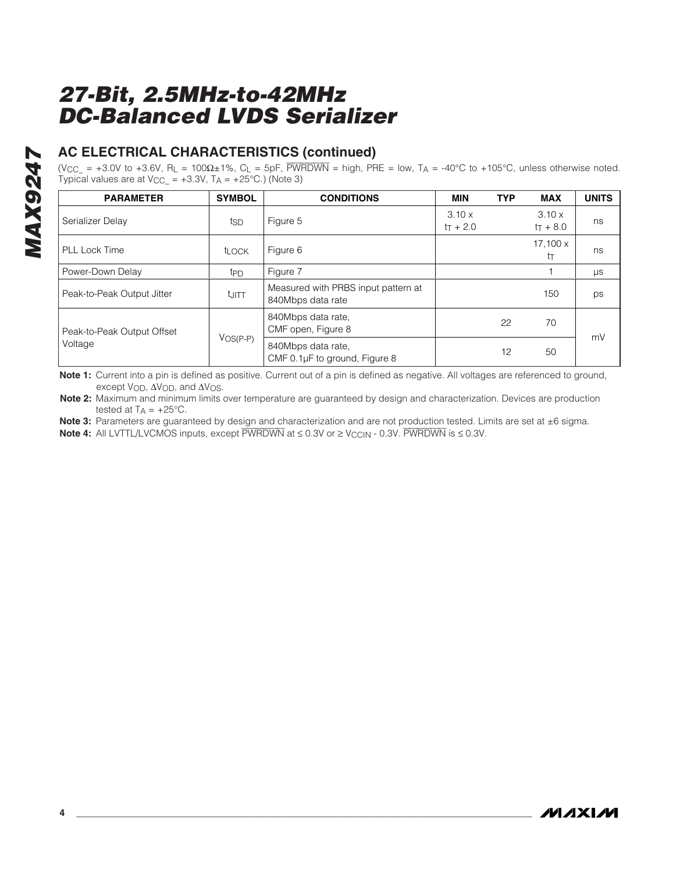## **AC ELECTRICAL CHARACTERISTICS (continued)**

(V<sub>CC\_</sub> = +3.0V to +3.6V, R<sub>L</sub> = 100 $\Omega$ ±1%, C<sub>L</sub> = 5pF,  $\overline{PWRDWN}$  = high, PRE = low, T<sub>A</sub> = -40°C to +105°C, unless otherwise noted. Typical values are at  $V_{\text{CC}} = +3.3V$ ,  $T_A = +25^{\circ}\text{C}$ .) (Note 3)

| <b>PARAMETER</b>           | <b>SYMBOL</b>     | <b>CONDITIONS</b>                                        | <b>MIN</b>                  | <b>TYP</b> | <b>MAX</b>            | <b>UNITS</b> |
|----------------------------|-------------------|----------------------------------------------------------|-----------------------------|------------|-----------------------|--------------|
| Serializer Delay           | tsp               | Figure 5                                                 | $3.10 \times$<br>$tr + 2.0$ |            | 3.10x<br>$tr + 8.0$   | ns           |
| <b>PLL Lock Time</b>       | t <sub>LOCK</sub> | Figure 6                                                 |                             |            | $17,100 \times$<br>tт | ns           |
| Power-Down Delay           | t <sub>PD</sub>   | Figure 7                                                 |                             |            |                       | $\mu s$      |
| Peak-to-Peak Output Jitter | turt              | Measured with PRBS input pattern at<br>840Mbps data rate |                             |            | 150                   | ps           |
| Peak-to-Peak Output Offset |                   | 840Mbps data rate,<br>CMF open, Figure 8                 |                             | 22         | 70                    |              |
| Voltage                    | $V$ OS(P-P)       | 840Mbps data rate,<br>CMF 0.1µF to ground, Figure 8      |                             | 12         | 50                    | mV           |

**Note 1:** Current into a pin is defined as positive. Current out of a pin is defined as negative. All voltages are referenced to ground, except V<sub>OD</sub>, ΔV<sub>OD</sub>, and ΔV<sub>OS</sub>.

**Note 2:** Maximum and minimum limits over temperature are guaranteed by design and characterization. Devices are production tested at  $TA = +25^{\circ}C$ .

Note 3: Parameters are guaranteed by design and characterization and are not production tested. Limits are set at ±6 sigma.

**Note 4:** All LVTTL/LVCMOS inputs, except  $\overline{PWRDWN}$  at ≤ 0.3V or ≥ V<sub>CCIN</sub> - 0.3V. PWRDWN is ≤ 0.3V.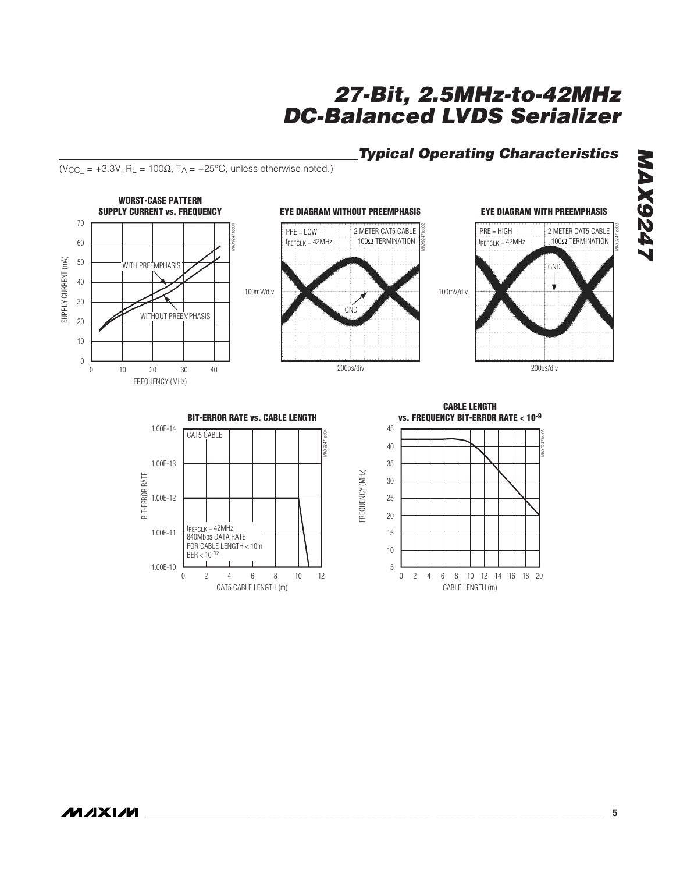BIT-ERROR RATE

BIT-ERROR RATE

1.00E-11

1.00E-10 0

1.00E-12

1.00E-13

1.00E-14

CAT5 CABLE

fREFCLK = 42MHz 840Mbps DATA RATE FOR CABLE LENGTH < 10m

 $BER < 10^{-12}$ 

## **27-Bit, 2.5MHz-to-42MHz DC-Balanced LVDS Serializer**

## **Typical Operating Characteristics**

**EYE DIAGRAM WITH PREEMPHASIS**

**GND** 

2 METER CAT5 CABLE

100Ω TERMINATION

200ps/div



(V<sub>CC\_</sub> = +3.3V, R<sub>L</sub> = 100 $\Omega$ , T<sub>A</sub> = +25°C, unless otherwise noted.)



MAX9247 toc04

FREQUENCY (MHz)

FREQUENCY (MHZ)

**BIT-ERROR RATE vs. CABLE LENGTH**

CAT5 CABLE LENGTH (m)

2 4 6 8 10 12



**MAX9247 MAX9247**

MAX9247 toc03

**\_\_\_\_\_\_\_\_\_\_\_\_\_\_\_\_\_\_\_\_\_\_\_\_\_\_\_\_\_\_\_\_\_\_\_\_\_\_\_\_\_\_\_\_\_\_\_\_\_\_\_\_\_\_\_\_\_\_\_\_\_\_\_\_\_\_\_\_\_\_\_\_\_\_\_\_\_\_\_\_\_\_\_\_\_\_\_ 5**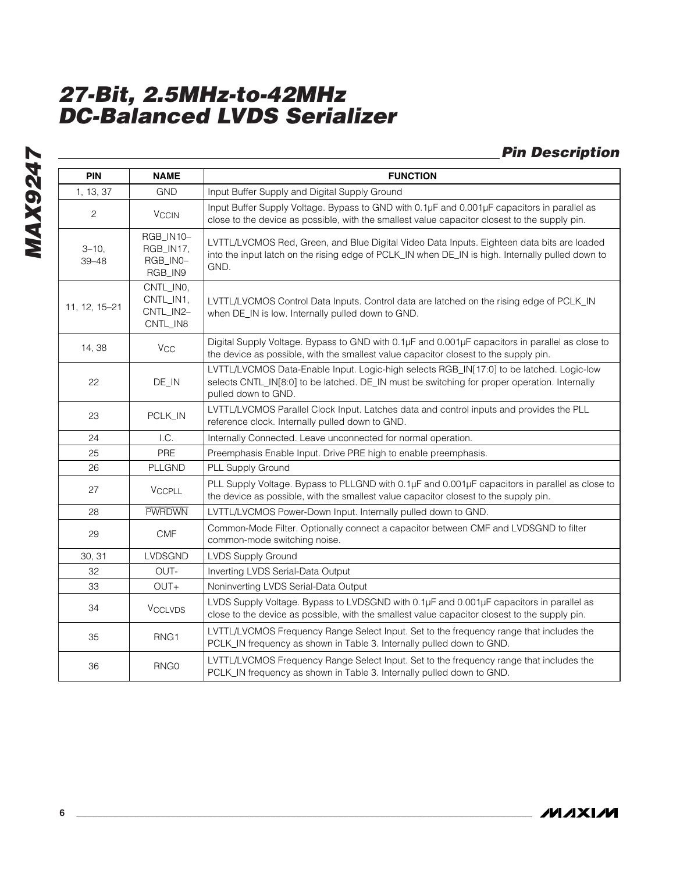## **Pin Description**

| <b>PIN</b>             | <b>NAME</b>                                                                                                                                                              | <b>FUNCTION</b>                                                                                                                                                                                                 |  |  |  |  |  |  |
|------------------------|--------------------------------------------------------------------------------------------------------------------------------------------------------------------------|-----------------------------------------------------------------------------------------------------------------------------------------------------------------------------------------------------------------|--|--|--|--|--|--|
| 1, 13, 37              | <b>GND</b>                                                                                                                                                               | Input Buffer Supply and Digital Supply Ground                                                                                                                                                                   |  |  |  |  |  |  |
| $\overline{c}$         | <b>VCCIN</b>                                                                                                                                                             | Input Buffer Supply Voltage. Bypass to GND with 0.1µF and 0.001µF capacitors in parallel as<br>close to the device as possible, with the smallest value capacitor closest to the supply pin.                    |  |  |  |  |  |  |
| $3 - 10,$<br>$39 - 48$ | RGB_IN10-<br>RGB_IN17,<br>RGB_IN0-<br>RGB_IN9                                                                                                                            | LVTTL/LVCMOS Red, Green, and Blue Digital Video Data Inputs. Eighteen data bits are loaded<br>into the input latch on the rising edge of PCLK_IN when DE_IN is high. Internally pulled down to<br>GND.          |  |  |  |  |  |  |
| 11, 12, 15-21          | CNTL_IN0,<br>CNTL_IN1,<br>CNTL_IN2-<br>CNTL_IN8                                                                                                                          | LVTTL/LVCMOS Control Data Inputs. Control data are latched on the rising edge of PCLK_IN<br>when DE_IN is low. Internally pulled down to GND.                                                                   |  |  |  |  |  |  |
| 14, 38                 | Vcc                                                                                                                                                                      | Digital Supply Voltage. Bypass to GND with 0.1µF and 0.001µF capacitors in parallel as close to<br>the device as possible, with the smallest value capacitor closest to the supply pin.                         |  |  |  |  |  |  |
| 22                     | DE_IN                                                                                                                                                                    | LVTTL/LVCMOS Data-Enable Input. Logic-high selects RGB_IN[17:0] to be latched. Logic-low<br>selects CNTL_IN[8:0] to be latched. DE_IN must be switching for proper operation. Internally<br>pulled down to GND. |  |  |  |  |  |  |
| 23                     | PCLK_IN                                                                                                                                                                  | LVTTL/LVCMOS Parallel Clock Input. Latches data and control inputs and provides the PLL<br>reference clock. Internally pulled down to GND.                                                                      |  |  |  |  |  |  |
| 24                     | I.C.                                                                                                                                                                     | Internally Connected. Leave unconnected for normal operation.                                                                                                                                                   |  |  |  |  |  |  |
| 25                     | PRE                                                                                                                                                                      | Preemphasis Enable Input. Drive PRE high to enable preemphasis.                                                                                                                                                 |  |  |  |  |  |  |
| 26                     | PLLGND                                                                                                                                                                   | PLL Supply Ground                                                                                                                                                                                               |  |  |  |  |  |  |
| 27                     | <b>VCCPLL</b>                                                                                                                                                            | PLL Supply Voltage. Bypass to PLLGND with 0.1µF and 0.001µF capacitors in parallel as close to<br>the device as possible, with the smallest value capacitor closest to the supply pin.                          |  |  |  |  |  |  |
| 28                     | <b>PWRDWN</b>                                                                                                                                                            | LVTTL/LVCMOS Power-Down Input. Internally pulled down to GND.                                                                                                                                                   |  |  |  |  |  |  |
| 29                     | <b>CMF</b>                                                                                                                                                               | Common-Mode Filter. Optionally connect a capacitor between CMF and LVDSGND to filter<br>common-mode switching noise.                                                                                            |  |  |  |  |  |  |
| 30, 31                 | LVDSGND                                                                                                                                                                  | <b>LVDS Supply Ground</b>                                                                                                                                                                                       |  |  |  |  |  |  |
| 32                     | OUT-                                                                                                                                                                     | Inverting LVDS Serial-Data Output                                                                                                                                                                               |  |  |  |  |  |  |
| 33                     | OUT+                                                                                                                                                                     | Noninverting LVDS Serial-Data Output                                                                                                                                                                            |  |  |  |  |  |  |
| 34                     | <b>VCCLVDS</b>                                                                                                                                                           | LVDS Supply Voltage. Bypass to LVDSGND with 0.1µF and 0.001µF capacitors in parallel as<br>close to the device as possible, with the smallest value capacitor closest to the supply pin.                        |  |  |  |  |  |  |
| 35                     | LVTTL/LVCMOS Frequency Range Select Input. Set to the frequency range that includes the<br>RNG1<br>PCLK_IN frequency as shown in Table 3. Internally pulled down to GND. |                                                                                                                                                                                                                 |  |  |  |  |  |  |
| 36                     | RNG0                                                                                                                                                                     | LVTTL/LVCMOS Frequency Range Select Input. Set to the frequency range that includes the<br>PCLK_IN frequency as shown in Table 3. Internally pulled down to GND.                                                |  |  |  |  |  |  |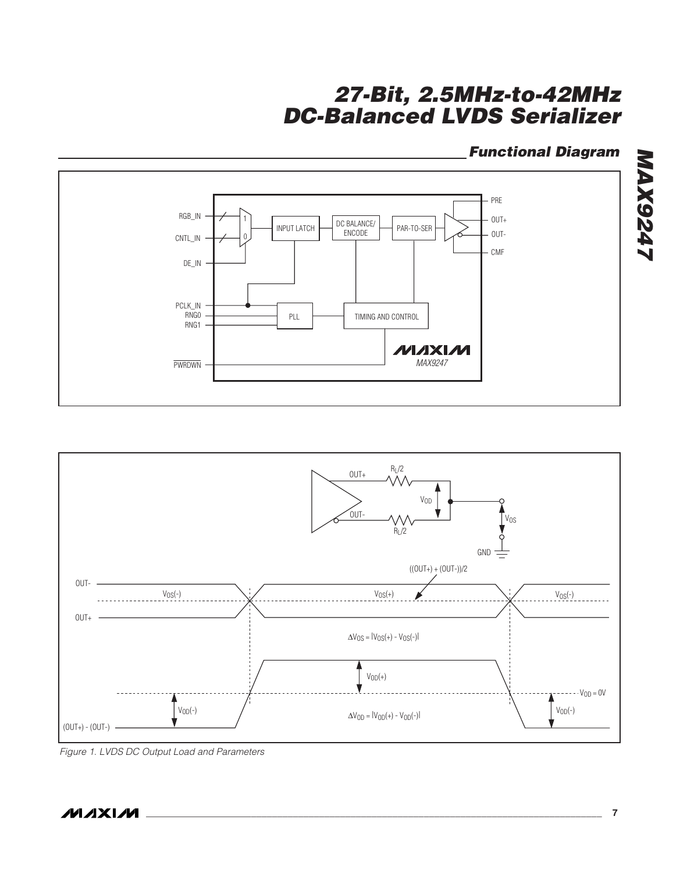### **Functional Diagram**





Figure 1. LVDS DC Output Load and Parameters

**MAXIM**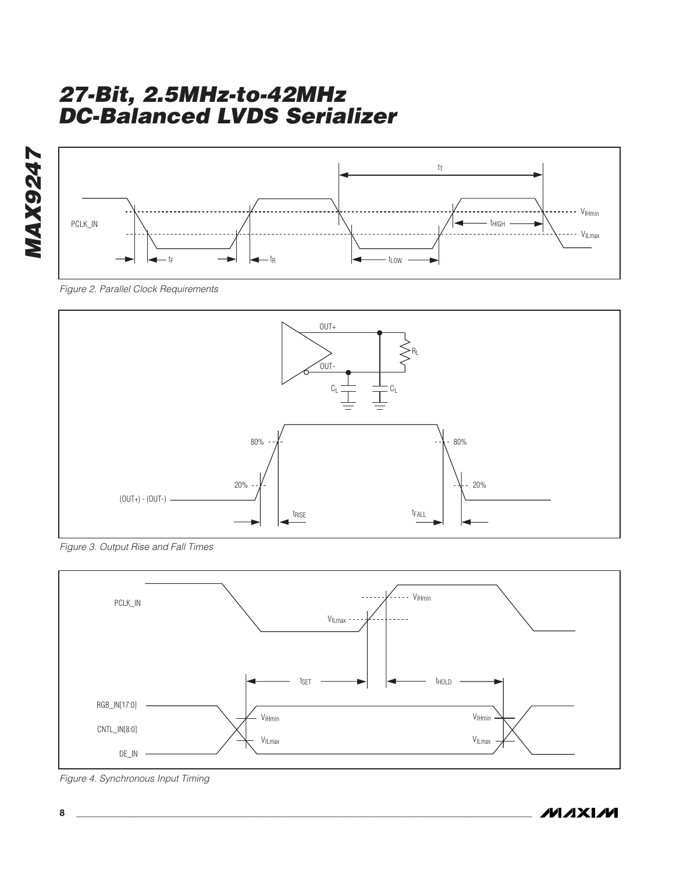

Figure 2. Parallel Clock Requirements



Figure 3. Output Rise and Fall Times



Figure 4. Synchronous Input Timing

**MAXIM**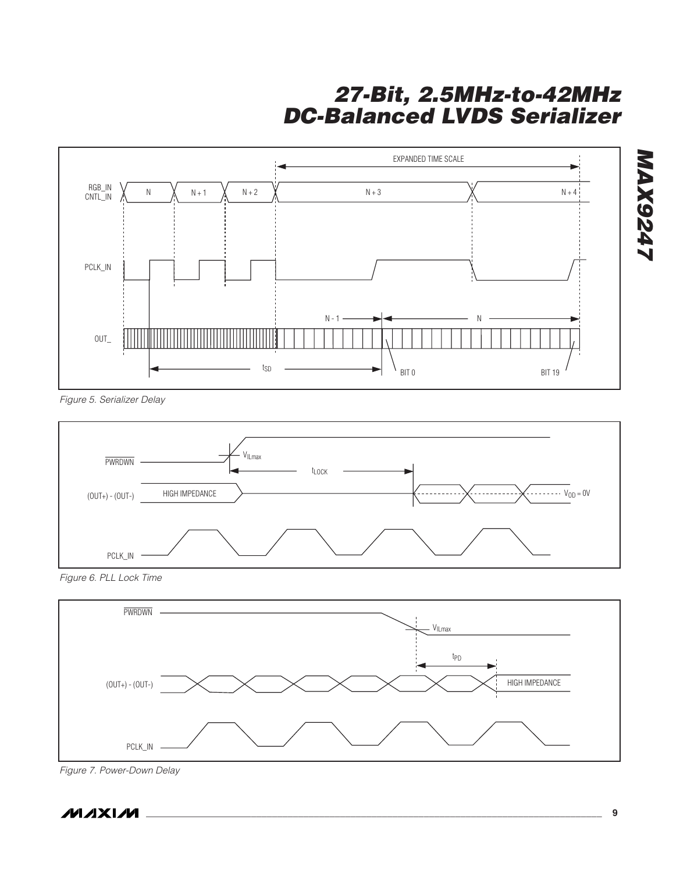

Figure 5. Serializer Delay



Figure 6. PLL Lock Time



Figure 7. Power-Down Delay

**MAXIM** 

**MAX9247**

**TAX9247**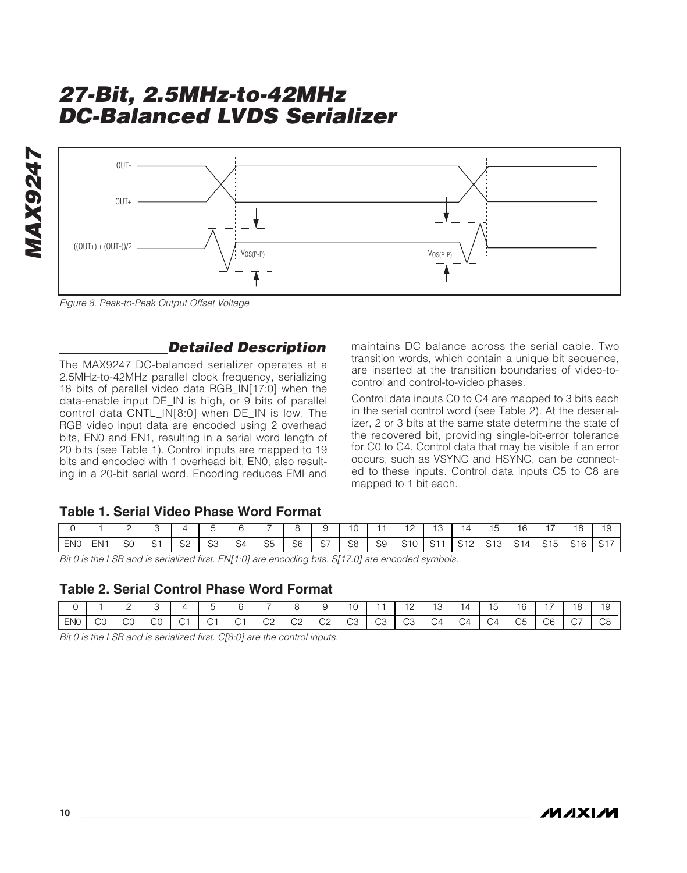

Figure 8. Peak-to-Peak Output Offset Voltage

### **Detailed Description**

The MAX9247 DC-balanced serializer operates at a 2.5MHz-to-42MHz parallel clock frequency, serializing 18 bits of parallel video data RGB\_IN[17:0] when the data-enable input DE\_IN is high, or 9 bits of parallel control data CNTL\_IN[8:0] when DE\_IN is low. The RGB video input data are encoded using 2 overhead bits, EN0 and EN1, resulting in a serial word length of 20 bits (see Table 1). Control inputs are mapped to 19 bits and encoded with 1 overhead bit, EN0, also resulting in a 20-bit serial word. Encoding reduces EMI and

maintains DC balance across the serial cable. Two transition words, which contain a unique bit sequence, are inserted at the transition boundaries of video-tocontrol and control-to-video phases.

Control data inputs C0 to C4 are mapped to 3 bits each in the serial control word (see Table 2). At the deserializer, 2 or 3 bits at the same state determine the state of the recovered bit, providing single-bit-error tolerance for C0 to C4. Control data that may be visible if an error occurs, such as VSYNC and HSYNC, can be connected to these inputs. Control data inputs C5 to C8 are mapped to 1 bit each.

### **Table 1. Serial Video Phase Word Format**

|                 |     | <u>_</u> |             | $\Delta$     |    |                |                |    |    | $\overline{\phantom{a}}$ |    | $\overline{a}$<br>$-$ | ں '                    | 14         |              | ۱r                  |     | 18  | 10<br>$\cdot$ |
|-----------------|-----|----------|-------------|--------------|----|----------------|----------------|----|----|--------------------------|----|-----------------------|------------------------|------------|--------------|---------------------|-----|-----|---------------|
| EN <sub>0</sub> | FN. |          | $\sim$<br>ັ | $\cap$<br>ےں | S3 | S <sub>4</sub> | S <sub>5</sub> | S6 | C7 | S8                       | S9 | S <sub>10</sub>       | $\mathsf{C}$ 1<br>U) I | C12<br>ے ا | C12<br>ں ا ب | $\overline{A}$<br>ັ | C15 | S16 | C17           |

Bit 0 is the LSB and is serialized first. EN[1:0] are encoding bits. S[17:0] are encoded symbols.

### **Table 2. Serial Control Phase Word Format**

|     |                     | -       |              | $\overline{\phantom{a}}$ |             | ı   |              |              | . .      | ى 1          |              | $\overline{a}$<br><u>_</u> | $\overline{a}$<br>13 | $\overline{L}$           | $-$<br>О | . .              |    | 18<br>$\sim$    | $\overline{a}$<br>שו<br>ັ |
|-----|---------------------|---------|--------------|--------------------------|-------------|-----|--------------|--------------|----------|--------------|--------------|----------------------------|----------------------|--------------------------|----------|------------------|----|-----------------|---------------------------|
| ENO | $\sim$ $\sim$<br>UU | r<br>UU | $\cap$<br>UU | $\sim$                   | $\sim$<br>ے | . . | $\cap$<br>◡∠ | $\sim$<br>◡▵ | ~~<br>◡∠ | $\cap$<br>UU | $\sim$<br>UJ | $\cap$<br>UJ               | $\sim$<br>2ن         | $\overline{\phantom{a}}$ |          | $\sim$ $-$<br>UU | UU | $\sim$ $-$<br>◡ | $\sim$<br>◡◡              |

Bit 0 is the LSB and is serialized first. C[8:0] are the control inputs.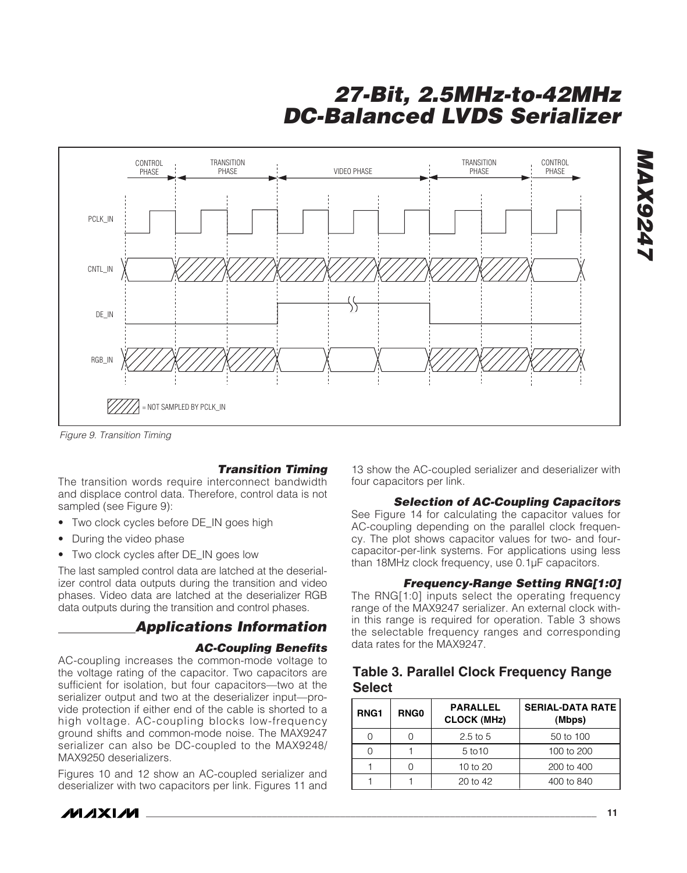

Figure 9. Transition Timing

### **Transition Timing**

The transition words require interconnect bandwidth and displace control data. Therefore, control data is not sampled (see Figure 9):

- Two clock cycles before DE\_IN goes high
- During the video phase
- Two clock cycles after DE\_IN goes low

The last sampled control data are latched at the deserializer control data outputs during the transition and video phases. Video data are latched at the deserializer RGB data outputs during the transition and control phases.

### **Applications Information**

### **AC-Coupling Benefits**

AC-coupling increases the common-mode voltage to the voltage rating of the capacitor. Two capacitors are sufficient for isolation, but four capacitors—two at the serializer output and two at the deserializer input—provide protection if either end of the cable is shorted to a high voltage. AC-coupling blocks low-frequency ground shifts and common-mode noise. The MAX9247 serializer can also be DC-coupled to the MAX9248/ MAX9250 deserializers.

Figures 10 and 12 show an AC-coupled serializer and deserializer with two capacitors per link. Figures 11 and

13 show the AC-coupled serializer and deserializer with four capacitors per link.

#### **Selection of AC-Coupling Capacitors**

See Figure 14 for calculating the capacitor values for AC-coupling depending on the parallel clock frequency. The plot shows capacitor values for two- and fourcapacitor-per-link systems. For applications using less than 18MHz clock frequency, use 0.1µF capacitors.

#### **Frequency-Range Setting RNG[1:0]**

The RNG[1:0] inputs select the operating frequency range of the MAX9247 serializer. An external clock within this range is required for operation. Table 3 shows the selectable frequency ranges and corresponding data rates for the MAX9247.

### **Table 3. Parallel Clock Frequency Range Select**

| RNG <sub>1</sub> | <b>RNG0</b> | <b>PARALLEL</b><br><b>CLOCK (MHz)</b> | <b>SERIAL-DATA RATE</b><br>(Mbps) |
|------------------|-------------|---------------------------------------|-----------------------------------|
|                  |             | $2.5$ to $5$                          | 50 to 100                         |
|                  |             | 5 to 10                               | 100 to 200                        |
|                  |             | 10 to 20                              | 200 to 400                        |
|                  |             | 20 to 42                              | 400 to 840                        |

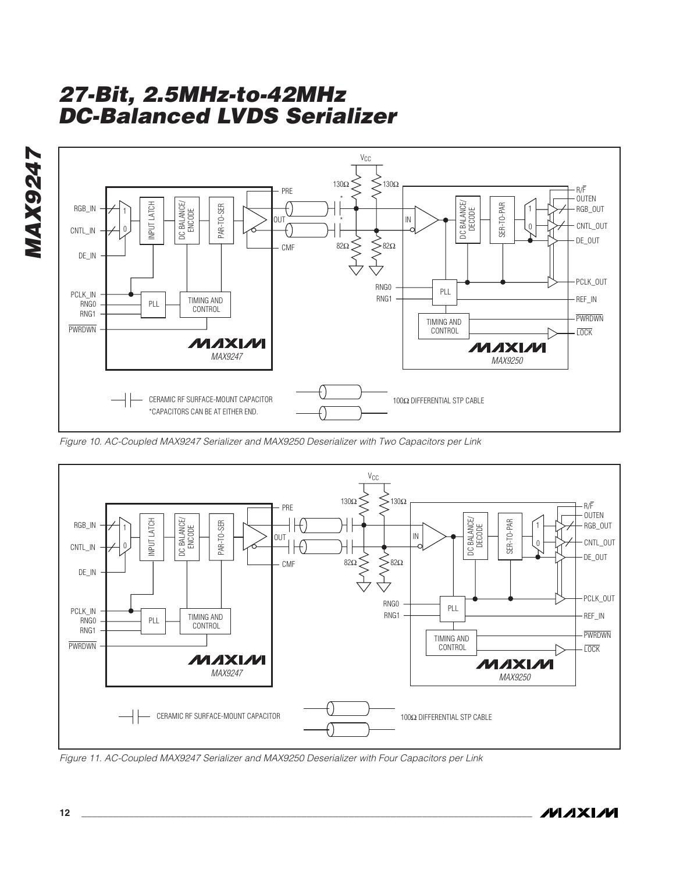

Figure 10. AC-Coupled MAX9247 Serializer and MAX9250 Deserializer with Two Capacitors per Link



Figure 11. AC-Coupled MAX9247 Serializer and MAX9250 Deserializer with Four Capacitors per Link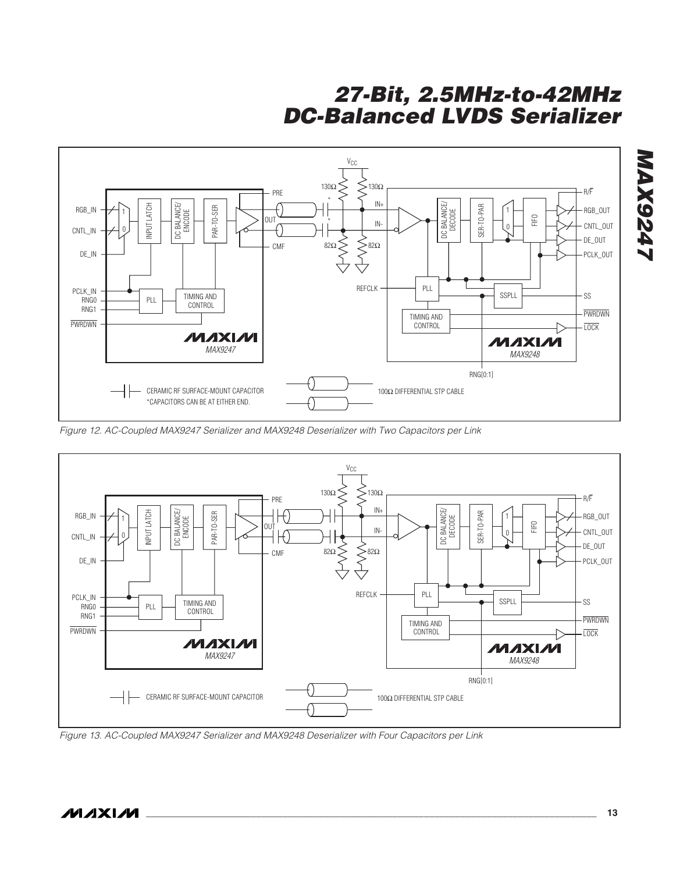

Figure 12. AC-Coupled MAX9247 Serializer and MAX9248 Deserializer with Two Capacitors per Link



Figure 13. AC-Coupled MAX9247 Serializer and MAX9248 Deserializer with Four Capacitors per Link

**MAX9247**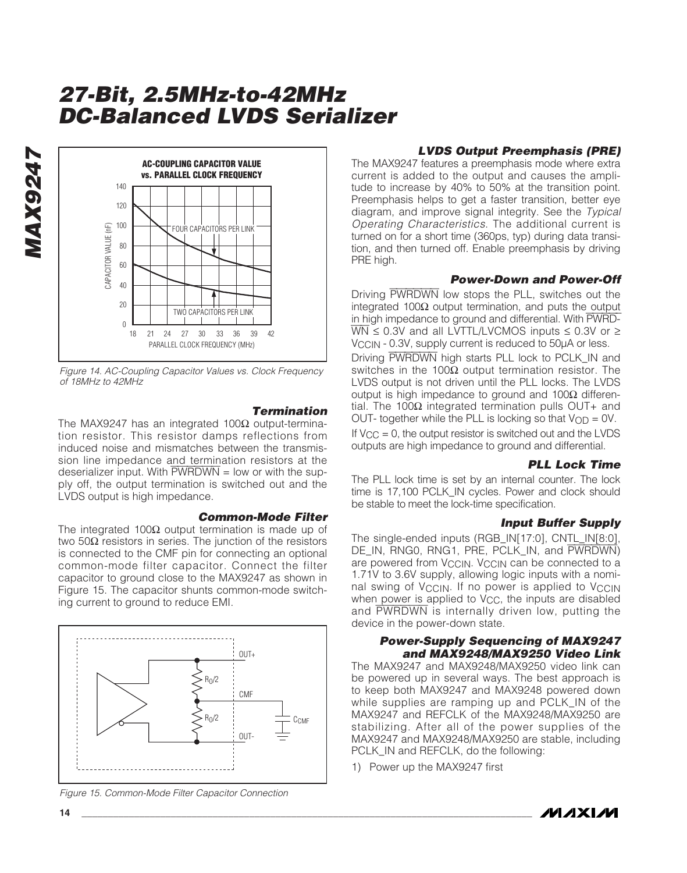

Figure 14. AC-Coupling Capacitor Values vs. Clock Frequency of 18MHz to 42MHz

**Termination** The MAX9247 has an integrated 100 $Ω$  output-termination resistor. This resistor damps reflections from induced noise and mismatches between the transmission line impedance and termination resistors at the deserializer input. With  $\overline{\text{PWRDWN}}$  = low or with the supply off, the output termination is switched out and the LVDS output is high impedance.

#### **Common-Mode Filter**

The integrated 100Ω output termination is made up of two 50Ω resistors in series. The junction of the resistors is connected to the CMF pin for connecting an optional common-mode filter capacitor. Connect the filter capacitor to ground close to the MAX9247 as shown in Figure 15. The capacitor shunts common-mode switching current to ground to reduce EMI.



Figure 15. Common-Mode Filter Capacitor Connection

### **LVDS Output Preemphasis (PRE)**

The MAX9247 features a preemphasis mode where extra current is added to the output and causes the amplitude to increase by 40% to 50% at the transition point. Preemphasis helps to get a faster transition, better eye diagram, and improve signal integrity. See the Typical Operating Characteristics. The additional current is turned on for a short time (360ps, typ) during data transition, and then turned off. Enable preemphasis by driving PRE high.

### **Power-Down and Power-Off**

Driving PWRDWN low stops the PLL, switches out the integrated 100Ω output termination, and puts the output in high impedance to ground and differential. With PWRD- $\overline{WN} \le 0.3V$  and all LVTTL/LVCMOS inputs  $\le 0.3V$  or  $\ge$ V<sub>CCIN</sub> - 0.3V, supply current is reduced to 50µA or less. Driving PWRDWN high starts PLL lock to PCLK\_IN and switches in the 100 $Ω$  output termination resistor. The LVDS output is not driven until the PLL locks. The LVDS output is high impedance to ground and  $100Ω$  differential. The 100 $Ω$  integrated termination pulls OUT+ and

OUT- together while the PLL is locking so that  $V_{OD} = 0V$ . If  $V_{CC} = 0$ , the output resistor is switched out and the LVDS outputs are high impedance to ground and differential.

### **PLL Lock Time**

The PLL lock time is set by an internal counter. The lock time is 17,100 PCLK\_IN cycles. Power and clock should be stable to meet the lock-time specification.

### **Input Buffer Supply**

The single-ended inputs (RGB\_IN[17:0], CNTL\_IN[8:0], DE\_IN, RNG0, RNG1, PRE, PCLK\_IN, and PWRDWN) are powered from VCCIN. VCCIN can be connected to a 1.71V to 3.6V supply, allowing logic inputs with a nominal swing of V<sub>CCIN</sub>. If no power is applied to V<sub>CCIN</sub> when power is applied to V<sub>CC</sub>, the inputs are disabled and PWRDWN is internally driven low, putting the device in the power-down state.

#### **Power-Supply Sequencing of MAX9247 and MAX9248/MAX9250 Video Link**

The MAX9247 and MAX9248/MAX9250 video link can be powered up in several ways. The best approach is to keep both MAX9247 and MAX9248 powered down while supplies are ramping up and PCLK\_IN of the MAX9247 and REFCLK of the MAX9248/MAX9250 are stabilizing. After all of the power supplies of the MAX9247 and MAX9248/MAX9250 are stable, including PCLK\_IN and REFCLK, do the following:

1) Power up the MAX9247 first



**MAX9247**

**MAX9247**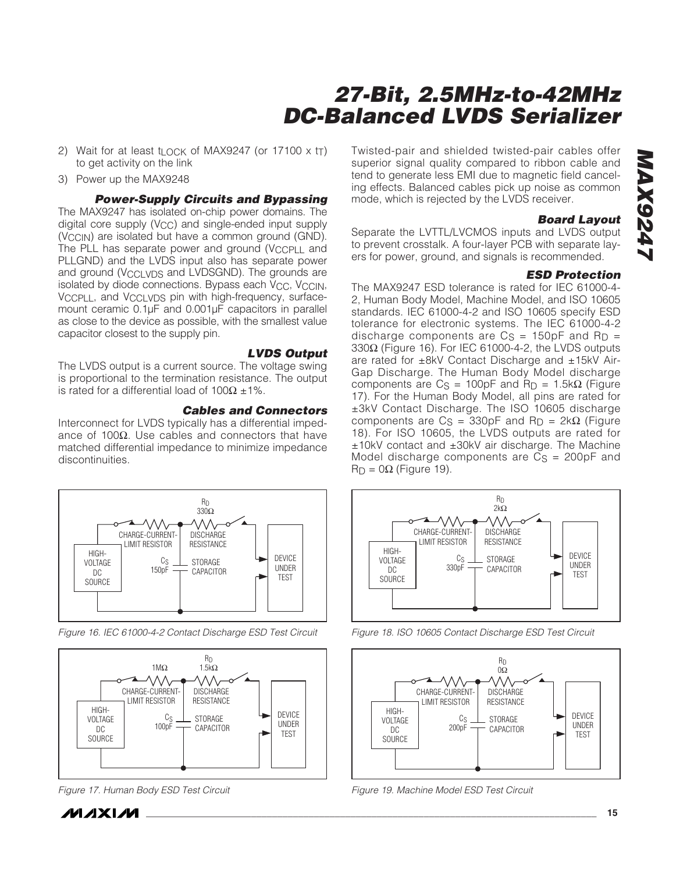- 2) Wait for at least t<sub>LOCK</sub> of MAX9247 (or 17100  $\times$  t<sub>T</sub>) to get activity on the link
- 3) Power up the MAX9248

**Power-Supply Circuits and Bypassing**

The MAX9247 has isolated on-chip power domains. The digital core supply  $(V_{CC})$  and single-ended input supply (V<sub>CCIN</sub>) are isolated but have a common ground (GND). The PLL has separate power and ground (VCCPLL and PLLGND) and the LVDS input also has separate power and ground (VCCLVDS and LVDSGND). The grounds are isolated by diode connections. Bypass each  $V_{CC}$ ,  $V_{CC}$   $N$ , VCCPLL, and VCCLVDS pin with high-frequency, surfacemount ceramic 0.1µF and 0.001µF capacitors in parallel as close to the device as possible, with the smallest value capacitor closest to the supply pin.

**LVDS Output** The LVDS output is a current source. The voltage swing is proportional to the termination resistance. The output is rated for a differential load of  $100Ω ±1%$ .

#### **Cables and Connectors**

Interconnect for LVDS typically has a differential impedance of 100 $Ω$ . Use cables and connectors that have matched differential impedance to minimize impedance discontinuities.



Figure 16. IEC 61000-4-2 Contact Discharge ESD Test Circuit



Figure 17. Human Body ESD Test Circuit

Twisted-pair and shielded twisted-pair cables offer superior signal quality compared to ribbon cable and tend to generate less EMI due to magnetic field canceling effects. Balanced cables pick up noise as common mode, which is rejected by the LVDS receiver.

#### **Board Layout**

Separate the LVTTL/LVCMOS inputs and LVDS output to prevent crosstalk. A four-layer PCB with separate layers for power, ground, and signals is recommended.

#### **ESD Protection**

The MAX9247 ESD tolerance is rated for IEC 61000-4- 2, Human Body Model, Machine Model, and ISO 10605 standards. IEC 61000-4-2 and ISO 10605 specify ESD tolerance for electronic systems. The IEC 61000-4-2 discharge components are  $Cs = 150pF$  and  $Rp =$ 330Ω (Figure 16). For IEC 61000-4-2, the LVDS outputs are rated for ±8kV Contact Discharge and ±15kV Air-Gap Discharge. The Human Body Model discharge components are  $Cs = 100pF$  and  $R_D = 1.5k\Omega$  (Figure 17). For the Human Body Model, all pins are rated for ±3kV Contact Discharge. The ISO 10605 discharge components are  $Cs = 330pF$  and  $RD = 2kΩ$  (Figure 18). For ISO 10605, the LVDS outputs are rated for ±10kV contact and ±30kV air discharge. The Machine Model discharge components are  $Cs = 200pF$  and  $R_D = 0\Omega$  (Figure 19).



Figure 18. ISO 10605 Contact Discharge ESD Test Circuit



Figure 19. Machine Model ESD Test Circuit

*IVIJIXIJV*I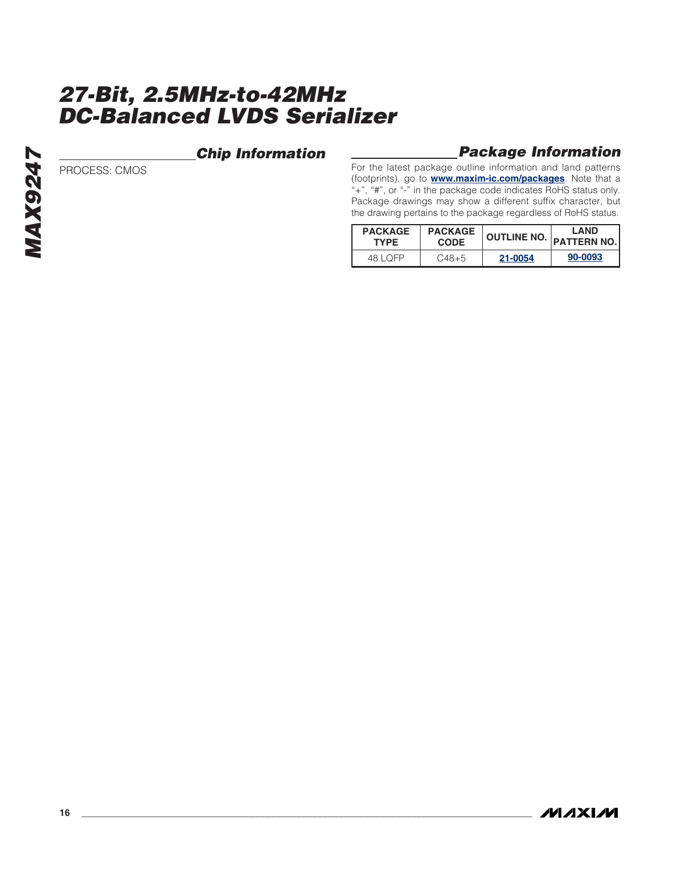### **Chip Information**

### PROCESS: CMOS

### **Package Information**

For the latest package outline information and land patterns (footprints), go to **[www.maxim-ic.com/packages](http://www.maxim-ic.com/packages)**. Note that a "+", "#", or "-" in the package code indicates RoHS status only. Package drawings may show a different suffix character, but the drawing pertains to the package regardless of RoHS status.

| <b>PACKAGE</b> | <b>PACKAGE</b> | <b>OUTLINE NO.</b> | <b>LAND</b>        |
|----------------|----------------|--------------------|--------------------|
| <b>TYPE</b>    | <b>CODE</b>    |                    | <b>PATTERN NO.</b> |
| 48 I OFP       | $C48+5$        | 21-0054            | 90-0093            |